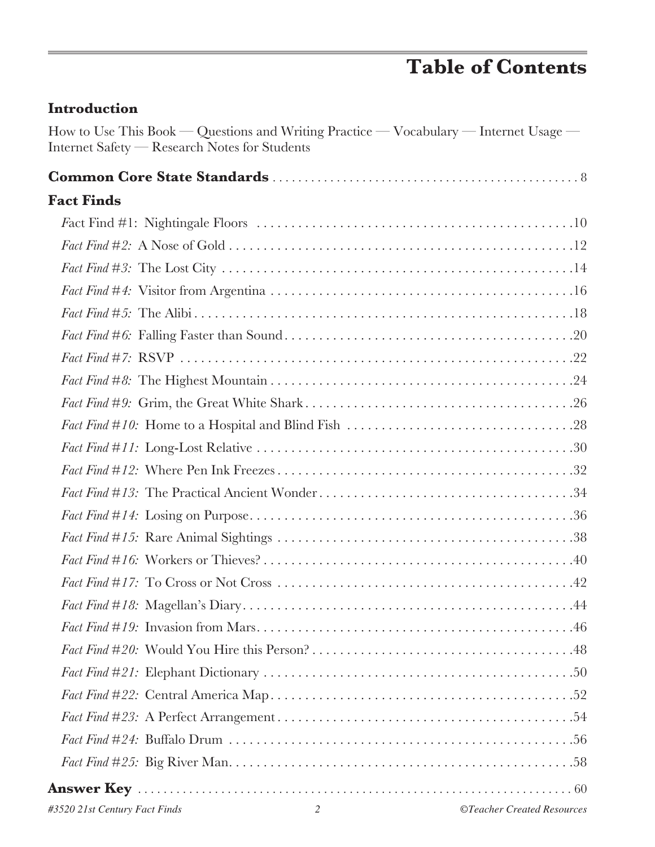# **Table of Contents**

| Internet Safety — Research Notes for Students | How to Use This Book — Questions and Writing Practice — Vocabulary — Internet Usage — |  |
|-----------------------------------------------|---------------------------------------------------------------------------------------|--|
|                                               |                                                                                       |  |
| <b>Fact Finds</b>                             |                                                                                       |  |
|                                               |                                                                                       |  |
|                                               |                                                                                       |  |
|                                               |                                                                                       |  |
|                                               |                                                                                       |  |
|                                               |                                                                                       |  |
|                                               |                                                                                       |  |
|                                               |                                                                                       |  |
|                                               |                                                                                       |  |
|                                               |                                                                                       |  |
|                                               |                                                                                       |  |
|                                               |                                                                                       |  |
|                                               |                                                                                       |  |
|                                               |                                                                                       |  |
|                                               |                                                                                       |  |
|                                               |                                                                                       |  |
|                                               |                                                                                       |  |
|                                               |                                                                                       |  |
|                                               |                                                                                       |  |
|                                               |                                                                                       |  |
|                                               |                                                                                       |  |
|                                               |                                                                                       |  |
|                                               |                                                                                       |  |
|                                               |                                                                                       |  |
|                                               |                                                                                       |  |
|                                               |                                                                                       |  |
|                                               |                                                                                       |  |

**Introduction**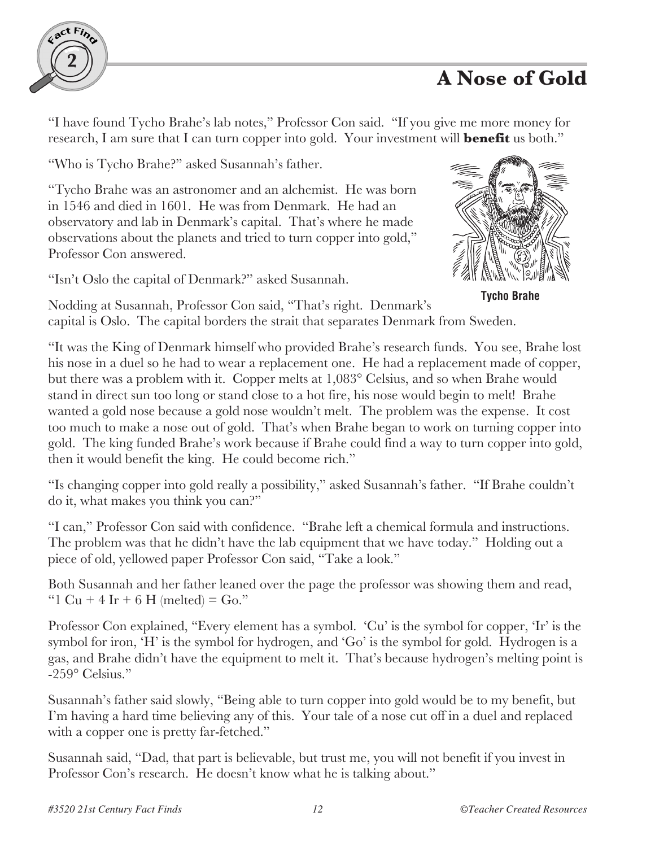

# **A Nose of Gold**

"I have found Tycho Brahe's lab notes," Professor Con said. "If you give me more money for research, I am sure that I can turn copper into gold. Your investment will **benefit** us both."

"Who is Tycho Brahe?" asked Susannah's father.

"Tycho Brahe was an astronomer and an alchemist. He was born in 1546 and died in 1601. He was from Denmark. He had an observatory and lab in Denmark's capital. That's where he made observations about the planets and tried to turn copper into gold," Professor Con answered.

"Isn't Oslo the capital of Denmark?" asked Susannah.



**Tycho Brahe**

Nodding at Susannah, Professor Con said, "That's right. Denmark's capital is Oslo. The capital borders the strait that separates Denmark from Sweden.

"It was the King of Denmark himself who provided Brahe's research funds. You see, Brahe lost his nose in a duel so he had to wear a replacement one. He had a replacement made of copper, but there was a problem with it. Copper melts at 1,083° Celsius, and so when Brahe would stand in direct sun too long or stand close to a hot fire, his nose would begin to melt! Brahe wanted a gold nose because a gold nose wouldn't melt. The problem was the expense. It cost too much to make a nose out of gold. That's when Brahe began to work on turning copper into gold. The king funded Brahe's work because if Brahe could find a way to turn copper into gold, then it would benefit the king. He could become rich."

"Is changing copper into gold really a possibility," asked Susannah's father. "If Brahe couldn't do it, what makes you think you can?"

"I can," Professor Con said with confidence. "Brahe left a chemical formula and instructions. The problem was that he didn't have the lab equipment that we have today." Holding out a piece of old, yellowed paper Professor Con said, "Take a look."

Both Susannah and her father leaned over the page the professor was showing them and read, " $1 \text{ Cu} + 4 \text{ Ir} + 6 \text{ H} \text{ (melted)} = \text{Go."}$ 

Professor Con explained, "Every element has a symbol. 'Cu' is the symbol for copper, 'Ir' is the symbol for iron, 'H' is the symbol for hydrogen, and 'Go' is the symbol for gold. Hydrogen is a gas, and Brahe didn't have the equipment to melt it. That's because hydrogen's melting point is -259° Celsius."

Susannah's father said slowly, "Being able to turn copper into gold would be to my benefit, but I'm having a hard time believing any of this. Your tale of a nose cut off in a duel and replaced with a copper one is pretty far-fetched."

Susannah said, "Dad, that part is believable, but trust me, you will not benefit if you invest in Professor Con's research. He doesn't know what he is talking about."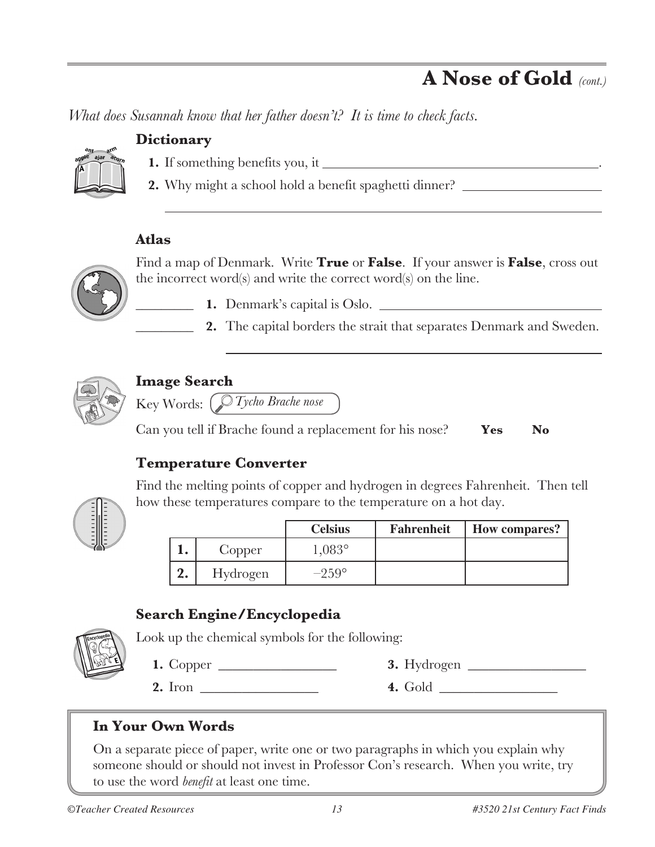# **A Nose of Gold** *(cont.)*

*What does Susannah know that her father doesn't? It is time to check facts.*



## **Dictionary**

- **1.** If something benefits you, it .
- **2.** Why might a school hold a benefit spaghetti dinner?

#### **Atlas**



Find a map of Denmark. Write **True** or **False**. If your answer is **False**, cross out the incorrect word(s) and write the correct word(s) on the line.

- **\_\_\_\_\_\_\_\_\_ 1.** Denmark's capital is Oslo.
- **\_\_\_\_\_\_\_\_\_ 2.** The capital borders the strait that separates Denmark and Sweden.



## **Image Search**

Key Words: *Tycho Brache nose*

Can you tell if Brache found a replacement for his nose? **Yes No**

## **Temperature Converter**

Find the melting points of copper and hydrogen in degrees Fahrenheit. Then tell how these temperatures compare to the temperature on a hot day.

|     |          | <b>Celsius</b> | Fahrenheit | <b>How compares?</b> |
|-----|----------|----------------|------------|----------------------|
|     | Copper   | $,083^\circ$   |            |                      |
| ہ ب | Hydrogen | $-259^\circ$   |            |                      |

## **Search Engine/Encyclopedia**



Look up the chemical symbols for the following:

**1.** Copper \_\_\_\_\_\_\_\_\_\_\_\_\_\_\_\_\_

**3.** Hydrogen \_\_\_\_\_\_\_\_\_\_\_\_\_\_\_\_\_

**4.** Gold \_\_\_\_\_\_\_\_\_\_\_\_\_\_\_\_\_

**2.** Iron

## **In Your Own Words**

On a separate piece of paper, write one or two paragraphs in which you explain why someone should or should not invest in Professor Con's research. When you write, try to use the word *benefit* at least one time.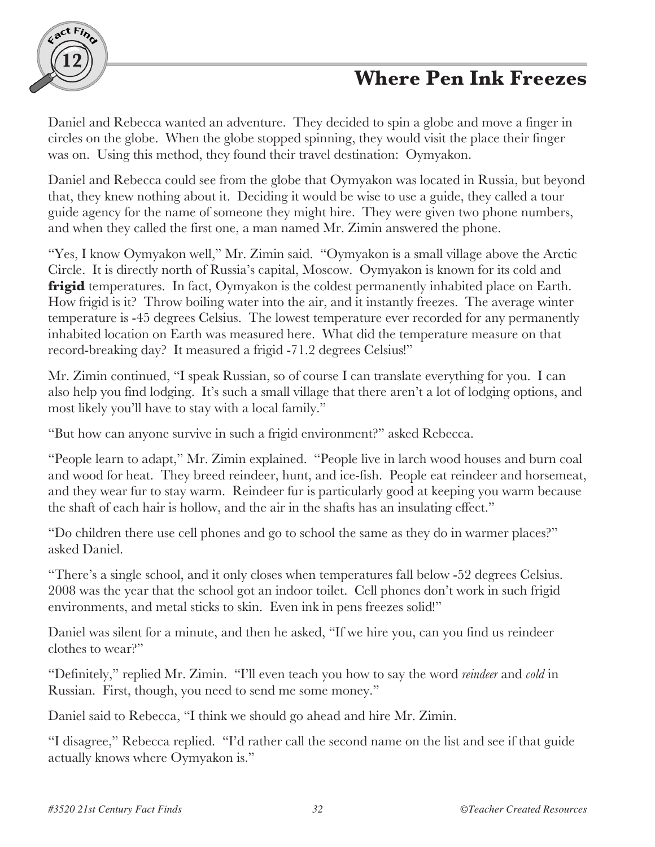

## **Where Pen Ink Freezes**

Daniel and Rebecca wanted an adventure. They decided to spin a globe and move a finger in circles on the globe. When the globe stopped spinning, they would visit the place their finger was on. Using this method, they found their travel destination: Oymyakon.

Daniel and Rebecca could see from the globe that Oymyakon was located in Russia, but beyond that, they knew nothing about it. Deciding it would be wise to use a guide, they called a tour guide agency for the name of someone they might hire. They were given two phone numbers, and when they called the first one, a man named Mr. Zimin answered the phone.

"Yes, I know Oymyakon well," Mr. Zimin said. "Oymyakon is a small village above the Arctic Circle. It is directly north of Russia's capital, Moscow. Oymyakon is known for its cold and **frigid** temperatures. In fact, Oymyakon is the coldest permanently inhabited place on Earth. How frigid is it? Throw boiling water into the air, and it instantly freezes. The average winter temperature is -45 degrees Celsius. The lowest temperature ever recorded for any permanently inhabited location on Earth was measured here. What did the temperature measure on that record-breaking day? It measured a frigid -71.2 degrees Celsius!"

Mr. Zimin continued, "I speak Russian, so of course I can translate everything for you. I can also help you find lodging. It's such a small village that there aren't a lot of lodging options, and most likely you'll have to stay with a local family."

"But how can anyone survive in such a frigid environment?" asked Rebecca.

"People learn to adapt," Mr. Zimin explained. "People live in larch wood houses and burn coal and wood for heat. They breed reindeer, hunt, and ice-fish. People eat reindeer and horsemeat, and they wear fur to stay warm. Reindeer fur is particularly good at keeping you warm because the shaft of each hair is hollow, and the air in the shafts has an insulating effect."

"Do children there use cell phones and go to school the same as they do in warmer places?" asked Daniel.

"There's a single school, and it only closes when temperatures fall below -52 degrees Celsius. 2008 was the year that the school got an indoor toilet. Cell phones don't work in such frigid environments, and metal sticks to skin. Even ink in pens freezes solid!"

Daniel was silent for a minute, and then he asked, "If we hire you, can you find us reindeer clothes to wear?"

"Definitely," replied Mr. Zimin. "I'll even teach you how to say the word *reindeer* and *cold* in Russian. First, though, you need to send me some money."

Daniel said to Rebecca, "I think we should go ahead and hire Mr. Zimin.

"I disagree," Rebecca replied. "I'd rather call the second name on the list and see if that guide actually knows where Oymyakon is."